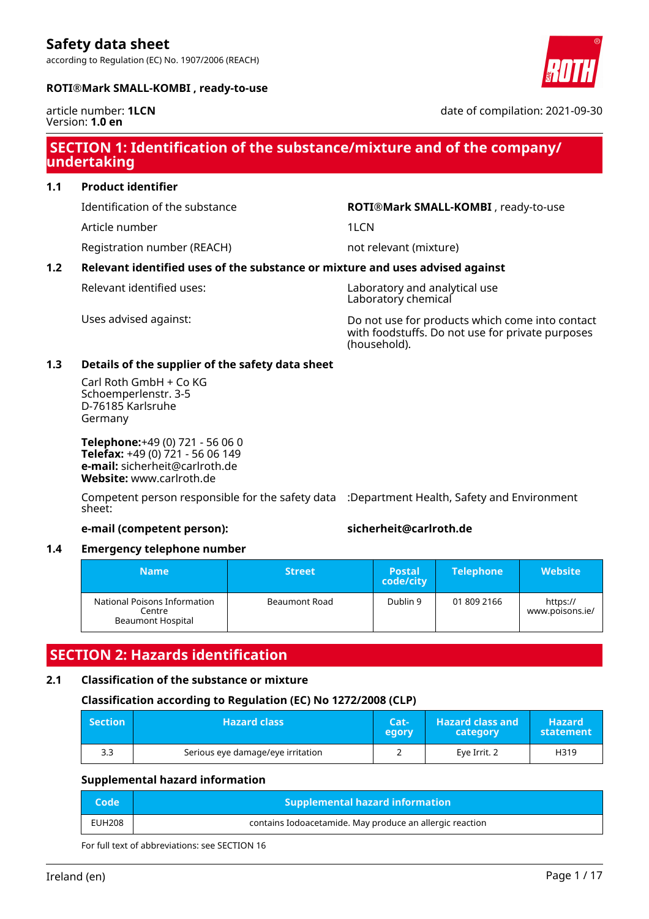according to Regulation (EC) No. 1907/2006 (REACH)



## **ROTI®Mark SMALL-KOMBI , ready-to-use**

article number: **1LCN** Version: **1.0 en**

date of compilation: 2021-09-30

## **SECTION 1: Identification of the substance/mixture and of the company/ undertaking**

## **1.1 Product identifier**

Article number 11 and 12 and 12 and 12 and 12 and 12 and 12 and 12 and 12 and 12 and 12 and 12 and 12 and 12 and 12 and 12 and 12 and 12 and 12 and 12 and 12 and 12 and 12 and 12 and 12 and 12 and 12 and 12 and 12 and 12 a

Registration number (REACH) not relevant (mixture)

Identification of the substance **ROTI®Mark SMALL-KOMBI** , ready-to-use

## **1.2 Relevant identified uses of the substance or mixture and uses advised against**

Relevant identified uses: Laboratory and analytical use Laboratory chemical

Uses advised against: Do not use for products which come into contact with foodstuffs. Do not use for private purposes (household).

## **1.3 Details of the supplier of the safety data sheet**

Carl Roth GmbH + Co KG Schoemperlenstr. 3-5 D-76185 Karlsruhe Germany

**Telephone:**+49 (0) 721 - 56 06 0 **Telefax:** +49 (0) 721 - 56 06 149 **e-mail:** sicherheit@carlroth.de **Website:** www.carlroth.de

Competent person responsible for the safety data :Department Health, Safety and Environment sheet:

## **e-mail (competent person): sicherheit@carlroth.de**

## **1.4 Emergency telephone number**

| Name                                                               | <b>Street</b> | <b>Postal</b><br>code/city | <b>Telephone</b> | $\sf IWebsite$ i            |
|--------------------------------------------------------------------|---------------|----------------------------|------------------|-----------------------------|
| National Poisons Information<br>Centre<br><b>Beaumont Hospital</b> | Beaumont Road | Dublin 9                   | 01 809 2166      | https://<br>www.poisons.ie/ |

## **SECTION 2: Hazards identification**

## **2.1 Classification of the substance or mixture**

## **Classification according to Regulation (EC) No 1272/2008 (CLP)**

| <b>Section</b> | <b>Hazard class</b>               | Cat-<br>egory | <b>Hazard class and</b><br>category | <b>Hazard</b><br>statement |
|----------------|-----------------------------------|---------------|-------------------------------------|----------------------------|
| 3.3            | Serious eye damage/eye irritation |               | Eye Irrit. 2                        | H319                       |

## **Supplemental hazard information**

| <b>Code</b> ' | <b>Supplemental hazard information</b>                   |
|---------------|----------------------------------------------------------|
| <b>EUH208</b> | contains Iodoacetamide. May produce an allergic reaction |

For full text of abbreviations: see SECTION 16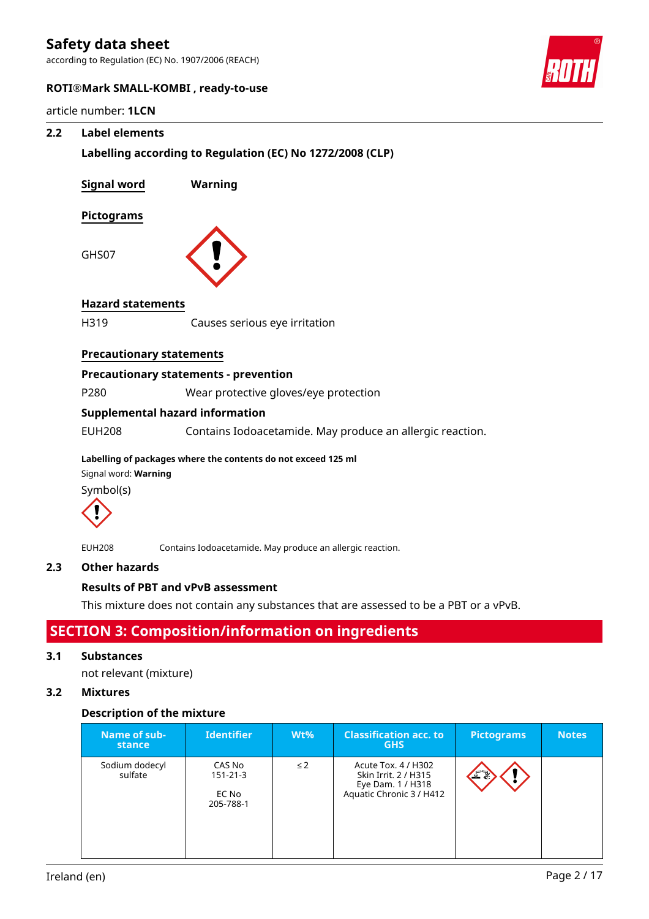according to Regulation (EC) No. 1907/2006 (REACH)



## **ROTI®Mark SMALL-KOMBI , ready-to-use**

article number: **1LCN**

## **2.2 Label elements**

| e number. <b>ILCN</b>             |                                                               |
|-----------------------------------|---------------------------------------------------------------|
| <b>Label elements</b>             |                                                               |
|                                   | Labelling according to Regulation (EC) No 1272/2008 (CLP)     |
| <b>Signal word</b>                | Warning                                                       |
| <b>Pictograms</b>                 |                                                               |
| GHS07                             |                                                               |
| <b>Hazard statements</b>          |                                                               |
| H319                              | Causes serious eye irritation                                 |
| <b>Precautionary statements</b>   |                                                               |
|                                   | <b>Precautionary statements - prevention</b>                  |
| P280                              | Wear protective gloves/eye protection                         |
|                                   | <b>Supplemental hazard information</b>                        |
| <b>EUH208</b>                     | Contains Iodoacetamide. May produce an allergic reaction.     |
| Signal word: Warning<br>Symbol(s) | Labelling of packages where the contents do not exceed 125 ml |
|                                   |                                                               |

EUH208 Contains Iodoacetamide. May produce an allergic reaction.

## **2.3 Other hazards**

## **Results of PBT and vPvB assessment**

This mixture does not contain any substances that are assessed to be a PBT or a vPvB.

## **SECTION 3: Composition/information on ingredients**

## **3.1 Substances**

not relevant (mixture)

## **3.2 Mixtures**

## **Description of the mixture**

| Name of sub-<br>stance    | <b>Identifier</b>                              | $Wt\%$   | <b>Classification acc. to</b><br><b>GHS</b>                                                  | <b>Pictograms</b> | <b>Notes</b> |
|---------------------------|------------------------------------------------|----------|----------------------------------------------------------------------------------------------|-------------------|--------------|
| Sodium dodecyl<br>sulfate | CAS No<br>$151 - 21 - 3$<br>EC No<br>205-788-1 | $\leq$ 2 | Acute Tox. 4 / H302<br>Skin Irrit. 2 / H315<br>Eye Dam. 1 / H318<br>Aquatic Chronic 3 / H412 | 工具                |              |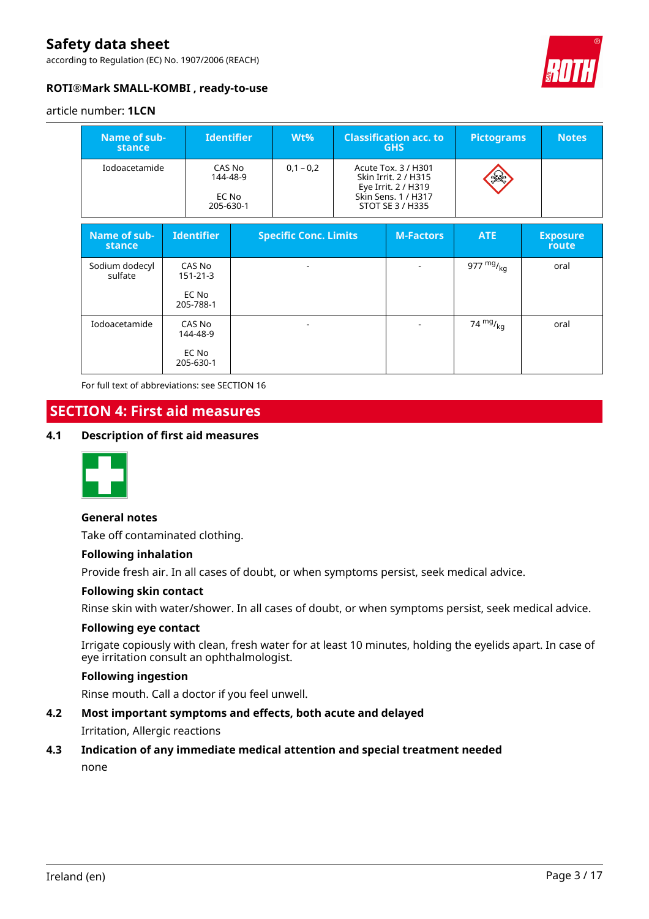according to Regulation (EC) No. 1907/2006 (REACH)



## **ROTI®Mark SMALL-KOMBI , ready-to-use**

#### article number: **1LCN**

| Name of sub-<br>stance    |  |                                                | <b>Identifier</b>           | $Wt\%$                       |                                                                                                               | <b>Classification acc. to</b><br><b>GHS</b> | <b>Pictograms</b> | <b>Notes</b>             |
|---------------------------|--|------------------------------------------------|-----------------------------|------------------------------|---------------------------------------------------------------------------------------------------------------|---------------------------------------------|-------------------|--------------------------|
| Iodoacetamide             |  | 205-630-1                                      | CAS No<br>144-48-9<br>EC No | $0,1 - 0,2$                  | Acute Tox. 3 / H301<br>Skin Irrit. 2 / H315<br>Eye Irrit. 2 / H319<br>Skin Sens. 1 / H317<br>STOT SE 3 / H335 |                                             |                   |                          |
| Name of sub-<br>stance    |  | <b>Identifier</b>                              |                             | <b>Specific Conc. Limits</b> |                                                                                                               | <b>M-Factors</b>                            | <b>ATE</b>        | <b>Exposure</b><br>route |
| Sodium dodecyl<br>sulfate |  | CAS No<br>$151 - 21 - 3$<br>EC No<br>205-788-1 |                             |                              |                                                                                                               |                                             | 977 $mg/_{kq}$    | oral                     |
| Iodoacetamide             |  | CAS No<br>144-48-9<br>EC No<br>205-630-1       |                             |                              |                                                                                                               |                                             | 74 $mg/kq$        | oral                     |

For full text of abbreviations: see SECTION 16

## **SECTION 4: First aid measures**

## **4.1 Description of first aid measures**



## **General notes**

Take off contaminated clothing.

## **Following inhalation**

Provide fresh air. In all cases of doubt, or when symptoms persist, seek medical advice.

## **Following skin contact**

Rinse skin with water/shower. In all cases of doubt, or when symptoms persist, seek medical advice.

## **Following eye contact**

Irrigate copiously with clean, fresh water for at least 10 minutes, holding the eyelids apart. In case of eye irritation consult an ophthalmologist.

## **Following ingestion**

Rinse mouth. Call a doctor if you feel unwell.

## **4.2 Most important symptoms and effects, both acute and delayed**

Irritation, Allergic reactions

## **4.3 Indication of any immediate medical attention and special treatment needed**

none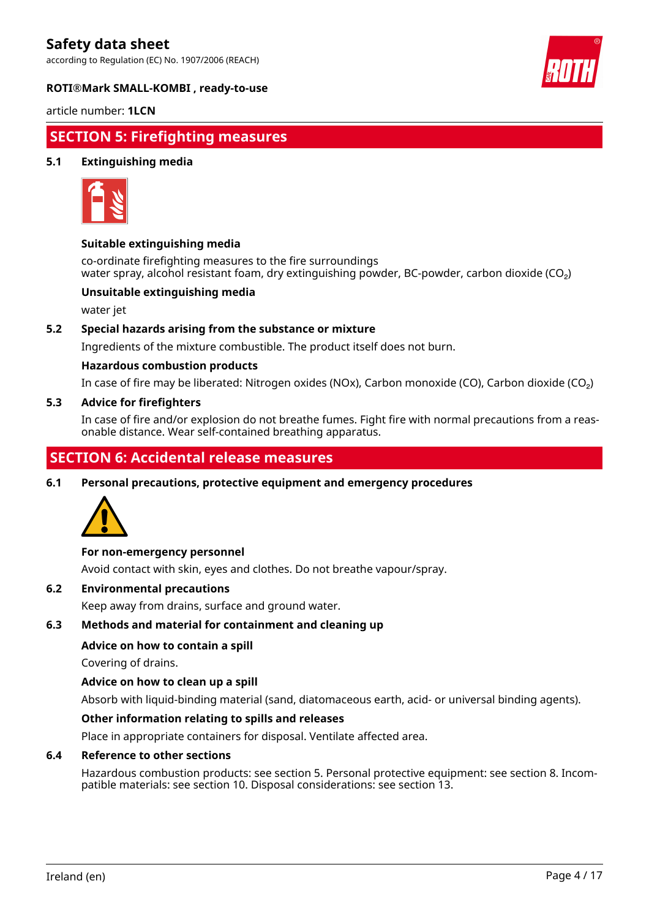according to Regulation (EC) No. 1907/2006 (REACH)



## **ROTI®Mark SMALL-KOMBI , ready-to-use**

article number: **1LCN**

## **SECTION 5: Firefighting measures**

## **5.1 Extinguishing media**



## **Suitable extinguishing media**

co-ordinate firefighting measures to the fire surroundings water spray, alcohol resistant foam, dry extinguishing powder, BC-powder, carbon dioxide (CO<sub>2</sub>)

## **Unsuitable extinguishing media**

water jet

## **5.2 Special hazards arising from the substance or mixture**

Ingredients of the mixture combustible. The product itself does not burn.

#### **Hazardous combustion products**

In case of fire may be liberated: Nitrogen oxides (NOx), Carbon monoxide (CO), Carbon dioxide (CO₂)

### **5.3 Advice for firefighters**

In case of fire and/or explosion do not breathe fumes. Fight fire with normal precautions from a reasonable distance. Wear self-contained breathing apparatus.

## **SECTION 6: Accidental release measures**

**6.1 Personal precautions, protective equipment and emergency procedures**



## **For non-emergency personnel**

Avoid contact with skin, eyes and clothes. Do not breathe vapour/spray.

## **6.2 Environmental precautions**

Keep away from drains, surface and ground water.

## **6.3 Methods and material for containment and cleaning up**

## **Advice on how to contain a spill**

Covering of drains.

#### **Advice on how to clean up a spill**

Absorb with liquid-binding material (sand, diatomaceous earth, acid- or universal binding agents).

## **Other information relating to spills and releases**

Place in appropriate containers for disposal. Ventilate affected area.

#### **6.4 Reference to other sections**

Hazardous combustion products: see section 5. Personal protective equipment: see section 8. Incompatible materials: see section 10. Disposal considerations: see section 13.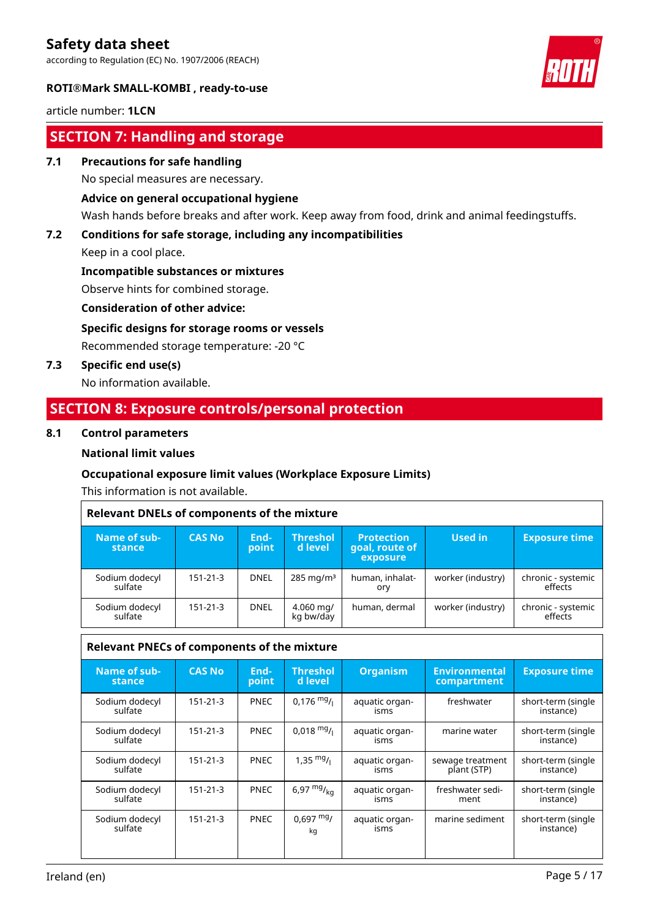according to Regulation (EC) No. 1907/2006 (REACH)



## **ROTI®Mark SMALL-KOMBI , ready-to-use**

article number: **1LCN**

## **SECTION 7: Handling and storage**

## **7.1 Precautions for safe handling**

No special measures are necessary.

## **Advice on general occupational hygiene**

Wash hands before breaks and after work. Keep away from food, drink and animal feedingstuffs.

## **7.2 Conditions for safe storage, including any incompatibilities**

Keep in a cool place.

**Incompatible substances or mixtures**

Observe hints for combined storage.

## **Consideration of other advice:**

## **Specific designs for storage rooms or vessels**

Recommended storage temperature: -20 °C

**7.3 Specific end use(s)**

No information available.

## **SECTION 8: Exposure controls/personal protection**

## **8.1 Control parameters**

## **National limit values**

## **Occupational exposure limit values (Workplace Exposure Limits)**

This information is not available.

| <b>Relevant DNELs of components of the mixture</b> |               |               |                            |                                                 |                   |                               |  |  |  |
|----------------------------------------------------|---------------|---------------|----------------------------|-------------------------------------------------|-------------------|-------------------------------|--|--|--|
| Name of sub-<br><b>stance</b>                      | <b>CAS No</b> | End-<br>point | <b>Threshol</b><br>d level | <b>Protection</b><br>goal, route of<br>exposure | Used in           | <b>Exposure time</b>          |  |  |  |
| Sodium dodecyl<br>sulfate                          | 151-21-3      | <b>DNEL</b>   | $285 \,\mathrm{mg/m^3}$    | human, inhalat-<br>ory                          | worker (industry) | chronic - systemic<br>effects |  |  |  |
| Sodium dodecyl<br>sulfate                          | 151-21-3      | <b>DNEL</b>   | $4.060$ mg/<br>kg bw/day   | human, dermal                                   | worker (industry) | chronic - systemic<br>effects |  |  |  |

#### **Relevant PNECs of components of the mixture Name of substance CAS No Endpoint Threshol d level Organism Environmental compartment Exposure time** Sodium dodecyl sulfate 151-21-3 **PNEC** 0,176  $\frac{mg}{l}$  aquatic organisms  $f$ reshwater | short-term (single instance) Sodium dodecyl sulfate 151-21-3 | PNEC | 0,018  $mg/$ | aquatic organisms marine water  $\vert$  short-term (single instance) Sodium dodecyl sulfate 151-21-3 **PNEC** 1,35  $mg/$  aquatic organisms sewage treatment plant (STP) short-term (single instance) Sodium dodecyl sulfate 151-21-3 **PNEC** 6,97  $mg/_{\text{kg}}$  aquatic organisms freshwater sediment short-term (single instance) Sodium dodecyl sulfate 151-21-3 **PNEC** 0.697 mg/ kg aquatic organisms marine sediment  $\vert$  short-term (single instance)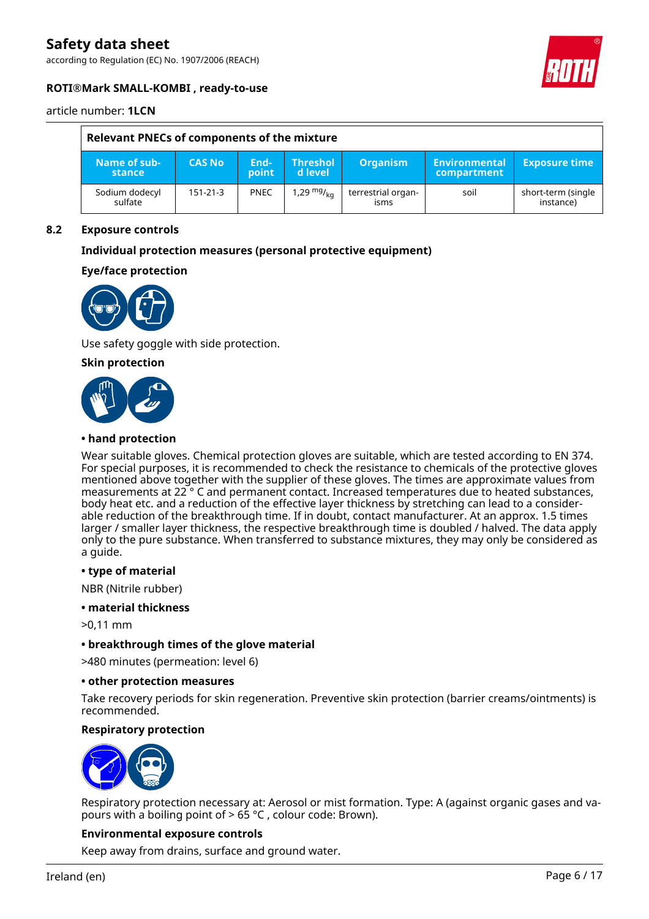according to Regulation (EC) No. 1907/2006 (REACH)



## **ROTI®Mark SMALL-KOMBI , ready-to-use**

article number: **1LCN**

| Relevant PNECs of components of the mixture |               |               |                                    |                            |                                     |                                 |  |  |
|---------------------------------------------|---------------|---------------|------------------------------------|----------------------------|-------------------------------------|---------------------------------|--|--|
| Name of sub-<br>stance                      | <b>CAS No</b> | End-<br>point | <b>Threshol</b><br>d level         | <b>Organism</b>            | Environmental<br><b>compartment</b> | <b>Exposure time</b>            |  |  |
| Sodium dodecyl<br>sulfate                   | 151-21-3      | <b>PNEC</b>   | 1,29 <sup>mg</sup> / <sub>ka</sub> | terrestrial organ-<br>isms | soil                                | short-term (single<br>instance) |  |  |

## **8.2 Exposure controls**

## **Individual protection measures (personal protective equipment)**

## **Eye/face protection**



Use safety goggle with side protection.

## **Skin protection**



#### **• hand protection**

Wear suitable gloves. Chemical protection gloves are suitable, which are tested according to EN 374. For special purposes, it is recommended to check the resistance to chemicals of the protective gloves mentioned above together with the supplier of these gloves. The times are approximate values from measurements at 22 ° C and permanent contact. Increased temperatures due to heated substances, body heat etc. and a reduction of the effective layer thickness by stretching can lead to a considerable reduction of the breakthrough time. If in doubt, contact manufacturer. At an approx. 1.5 times larger / smaller layer thickness, the respective breakthrough time is doubled / halved. The data apply only to the pure substance. When transferred to substance mixtures, they may only be considered as a guide.

#### **• type of material**

NBR (Nitrile rubber)

#### **• material thickness**

>0,11 mm

## **• breakthrough times of the glove material**

>480 minutes (permeation: level 6)

#### **• other protection measures**

Take recovery periods for skin regeneration. Preventive skin protection (barrier creams/ointments) is recommended.

## **Respiratory protection**



Respiratory protection necessary at: Aerosol or mist formation. Type: A (against organic gases and vapours with a boiling point of > 65 °C , colour code: Brown).

## **Environmental exposure controls**

Keep away from drains, surface and ground water.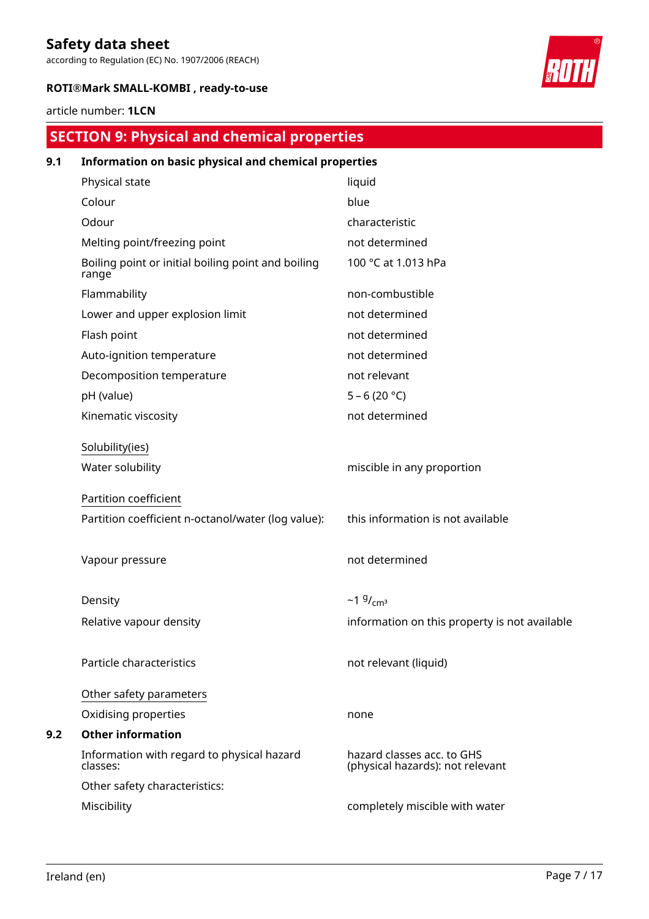according to Regulation (EC) No. 1907/2006 (REACH)



## **ROTI®Mark SMALL-KOMBI , ready-to-use**

## article number: **1LCN**

# **SECTION 9: Physical and chemical properties**

| 9.1 | Information on basic physical and chemical properties       |                                                                |  |  |  |  |  |
|-----|-------------------------------------------------------------|----------------------------------------------------------------|--|--|--|--|--|
|     | Physical state                                              | liquid                                                         |  |  |  |  |  |
|     | Colour                                                      | blue                                                           |  |  |  |  |  |
|     | Odour                                                       | characteristic                                                 |  |  |  |  |  |
|     | Melting point/freezing point                                | not determined                                                 |  |  |  |  |  |
|     | Boiling point or initial boiling point and boiling<br>range | 100 °C at 1.013 hPa                                            |  |  |  |  |  |
|     | Flammability                                                | non-combustible                                                |  |  |  |  |  |
|     | Lower and upper explosion limit                             | not determined                                                 |  |  |  |  |  |
|     | Flash point                                                 | not determined                                                 |  |  |  |  |  |
|     | Auto-ignition temperature                                   | not determined                                                 |  |  |  |  |  |
|     | Decomposition temperature                                   | not relevant                                                   |  |  |  |  |  |
|     | pH (value)                                                  | $5 - 6(20 °C)$                                                 |  |  |  |  |  |
|     | Kinematic viscosity                                         | not determined                                                 |  |  |  |  |  |
|     | Solubility(ies)                                             |                                                                |  |  |  |  |  |
|     | Water solubility                                            | miscible in any proportion                                     |  |  |  |  |  |
|     | Partition coefficient                                       |                                                                |  |  |  |  |  |
|     | Partition coefficient n-octanol/water (log value):          | this information is not available                              |  |  |  |  |  |
|     | Vapour pressure                                             | not determined                                                 |  |  |  |  |  |
|     | Density                                                     | ~1 $9/$ <sub>cm<sup>3</sup></sub>                              |  |  |  |  |  |
|     | Relative vapour density                                     | information on this property is not available                  |  |  |  |  |  |
|     | Particle characteristics                                    | not relevant (liquid)                                          |  |  |  |  |  |
|     | Other safety parameters                                     |                                                                |  |  |  |  |  |
|     | Oxidising properties                                        | none                                                           |  |  |  |  |  |
| 9.2 | <b>Other information</b>                                    |                                                                |  |  |  |  |  |
|     | Information with regard to physical hazard<br>classes:      | hazard classes acc. to GHS<br>(physical hazards): not relevant |  |  |  |  |  |
|     | Other safety characteristics:                               |                                                                |  |  |  |  |  |
|     | Miscibility                                                 | completely miscible with water                                 |  |  |  |  |  |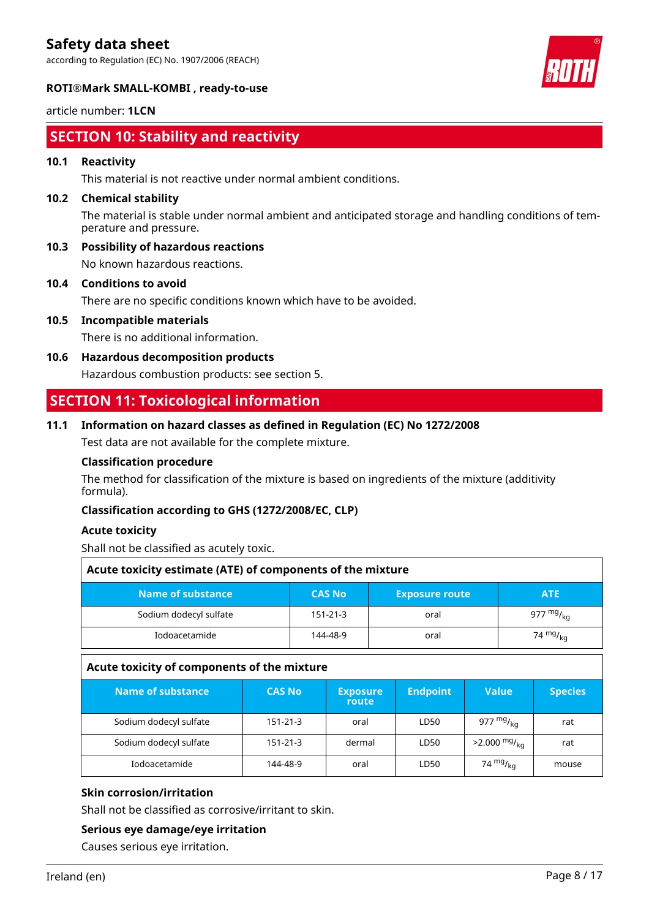according to Regulation (EC) No. 1907/2006 (REACH)





# **ROTI®Mark SMALL-KOMBI , ready-to-use**

article number: **1LCN**

## **SECTION 10: Stability and reactivity**

## **10.1 Reactivity**

This material is not reactive under normal ambient conditions.

## **10.2 Chemical stability**

The material is stable under normal ambient and anticipated storage and handling conditions of temperature and pressure.

**10.3 Possibility of hazardous reactions**

No known hazardous reactions.

**10.4 Conditions to avoid**

There are no specific conditions known which have to be avoided.

**10.5 Incompatible materials**

There is no additional information.

**10.6 Hazardous decomposition products**

Hazardous combustion products: see section 5.

## **SECTION 11: Toxicological information**

## **11.1 Information on hazard classes as defined in Regulation (EC) No 1272/2008**

Test data are not available for the complete mixture.

## **Classification procedure**

The method for classification of the mixture is based on ingredients of the mixture (additivity formula).

## **Classification according to GHS (1272/2008/EC, CLP)**

## **Acute toxicity**

Shall not be classified as acutely toxic.

| Acute toxicity estimate (ATE) of components of the mixture                |                |      |                     |  |  |  |  |  |
|---------------------------------------------------------------------------|----------------|------|---------------------|--|--|--|--|--|
| Name of substance<br><b>CAS No</b><br><b>Exposure route</b><br><b>ATE</b> |                |      |                     |  |  |  |  |  |
| Sodium dodecyl sulfate                                                    | $151 - 21 - 3$ | oral | 977 mg/ $_{\rm ka}$ |  |  |  |  |  |
| 74 $mg/_{kq}$<br>Iodoacetamide<br>144-48-9<br>oral                        |                |      |                     |  |  |  |  |  |

## **Acute toxicity of components of the mixture**

| Name of substance      | <b>CAS No</b>  | <b>Exposure</b><br>route | <b>Endpoint</b> | <b>Value</b>               | <b>Species</b> |
|------------------------|----------------|--------------------------|-----------------|----------------------------|----------------|
| Sodium dodecyl sulfate | $151 - 21 - 3$ | oral                     | LD50            | 977 $mg/_{ka}$             | rat            |
| Sodium dodecyl sulfate | 151-21-3       | dermal                   | LD50            | $>2.000$ mg/ <sub>ka</sub> | rat            |
| Iodoacetamide          | 144-48-9       | oral                     | LD50            | 74 $mg/ka$                 | mouse          |

## **Skin corrosion/irritation**

Shall not be classified as corrosive/irritant to skin.

## **Serious eye damage/eye irritation**

Causes serious eye irritation.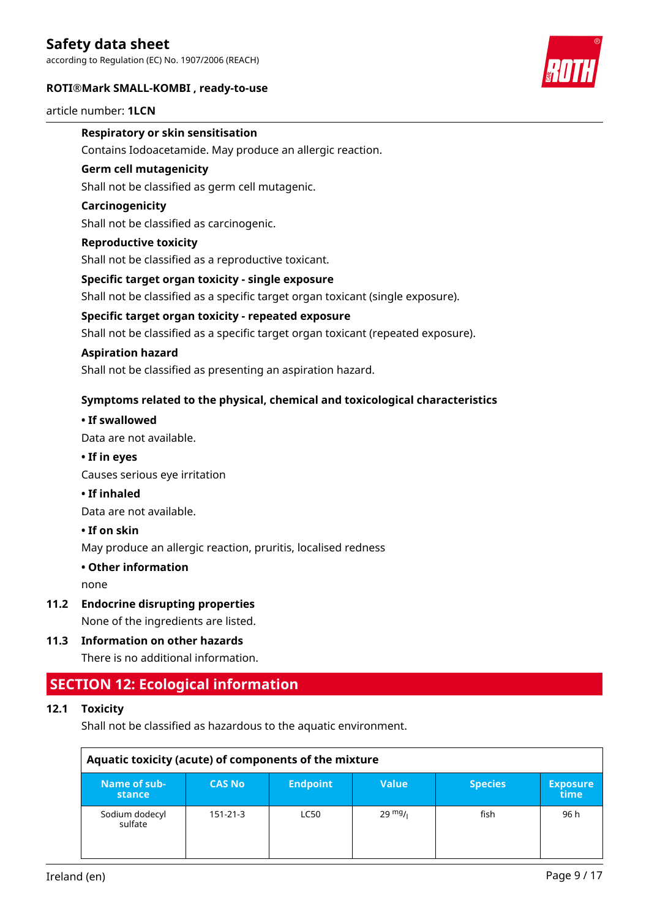according to Regulation (EC) No. 1907/2006 (REACH)

## **ROTI®Mark SMALL-KOMBI , ready-to-use**



#### article number: **1LCN**

## **Respiratory or skin sensitisation**

Contains Iodoacetamide. May produce an allergic reaction.

### **Germ cell mutagenicity**

Shall not be classified as germ cell mutagenic.

## **Carcinogenicity**

Shall not be classified as carcinogenic.

#### **Reproductive toxicity**

Shall not be classified as a reproductive toxicant.

#### **Specific target organ toxicity - single exposure**

Shall not be classified as a specific target organ toxicant (single exposure).

### **Specific target organ toxicity - repeated exposure**

Shall not be classified as a specific target organ toxicant (repeated exposure).

### **Aspiration hazard**

Shall not be classified as presenting an aspiration hazard.

## **Symptoms related to the physical, chemical and toxicological characteristics**

## **• If swallowed**

Data are not available.

### **• If in eyes**

Causes serious eye irritation

## **• If inhaled**

Data are not available.

## **• If on skin**

May produce an allergic reaction, pruritis, localised redness

## **• Other information**

none

## **11.2 Endocrine disrupting properties**

None of the ingredients are listed.

## **11.3 Information on other hazards**

There is no additional information.

## **SECTION 12: Ecological information**

## **12.1 Toxicity**

Shall not be classified as hazardous to the aquatic environment.

| Aquatic toxicity (acute) of components of the mixture |                |                 |                   |                |                         |  |  |  |
|-------------------------------------------------------|----------------|-----------------|-------------------|----------------|-------------------------|--|--|--|
| Name of sub-<br>stance                                | <b>CAS No</b>  | <b>Endpoint</b> | <b>Value</b>      | <b>Species</b> | <b>Exposure</b><br>time |  |  |  |
| Sodium dodecyl<br>sulfate                             | $151 - 21 - 3$ | <b>LC50</b>     | $29 \frac{mg}{l}$ | fish           | 96 h                    |  |  |  |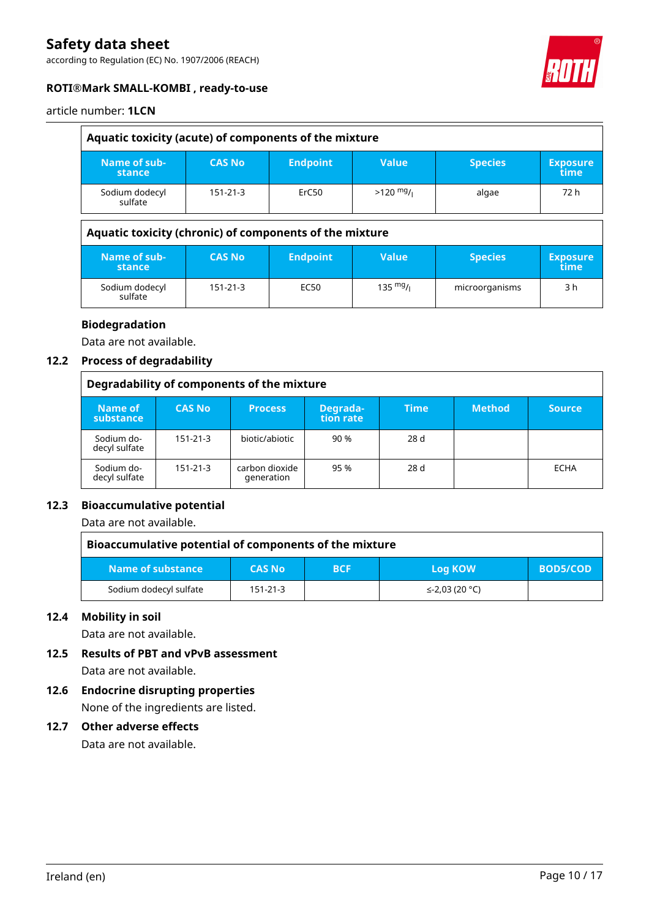according to Regulation (EC) No. 1907/2006 (REACH)



## **ROTI®Mark SMALL-KOMBI , ready-to-use**

## article number: **1LCN**

| Aquatic toxicity (acute) of components of the mixture |                                                         |                 |                    |                |                         |  |
|-------------------------------------------------------|---------------------------------------------------------|-----------------|--------------------|----------------|-------------------------|--|
| Name of sub-<br>stance                                | <b>CAS No</b>                                           | <b>Endpoint</b> | <b>Value</b>       | <b>Species</b> | <b>Exposure</b><br>time |  |
| Sodium dodecyl<br>sulfate                             | $151 - 21 - 3$                                          | ErC50           | $>120$ mg/i        | algae          | 72 h                    |  |
|                                                       | Aquatic toxicity (chronic) of components of the mixture |                 |                    |                |                         |  |
| Name of sub-<br>stance                                | <b>CAS No</b>                                           | <b>Endpoint</b> | <b>Value</b>       | <b>Species</b> | <b>Exposure</b><br>time |  |
| Sodium dodecyl                                        | 151-21-3                                                | EC50            | $135 \frac{mg}{l}$ | microorganisms | 3 h                     |  |

## **Biodegradation**

Data are not available.

sulfate

## **12.2 Process of degradability**

|                             | Degradability of components of the mixture |                              |                       |             |               |               |
|-----------------------------|--------------------------------------------|------------------------------|-----------------------|-------------|---------------|---------------|
| Name of<br>substance        | <b>CAS No</b>                              | <b>Process</b>               | Degrada-<br>tion rate | <b>Time</b> | <b>Method</b> | <b>Source</b> |
| Sodium do-<br>decyl sulfate | $151 - 21 - 3$                             | biotic/abiotic               | 90 %                  | 28 d        |               |               |
| Sodium do-<br>decyl sulfate | $151 - 21 - 3$                             | carbon dioxide<br>generation | 95 %                  | 28 d        |               | ECHA          |

## **12.3 Bioaccumulative potential**

Data are not available.

| Bioaccumulative potential of components of the mixture |                |            |                |          |
|--------------------------------------------------------|----------------|------------|----------------|----------|
| Name of substance                                      | <b>CAS No</b>  | <b>BCF</b> | <b>Log KOW</b> | BOD5/COD |
| Sodium dodecyl sulfate                                 | $151 - 21 - 3$ |            | ≤-2,03 (20 °C) |          |

## **12.4 Mobility in soil**

Data are not available.

- **12.5 Results of PBT and vPvB assessment** Data are not available.
- **12.6 Endocrine disrupting properties** None of the ingredients are listed.

## **12.7 Other adverse effects**

Data are not available.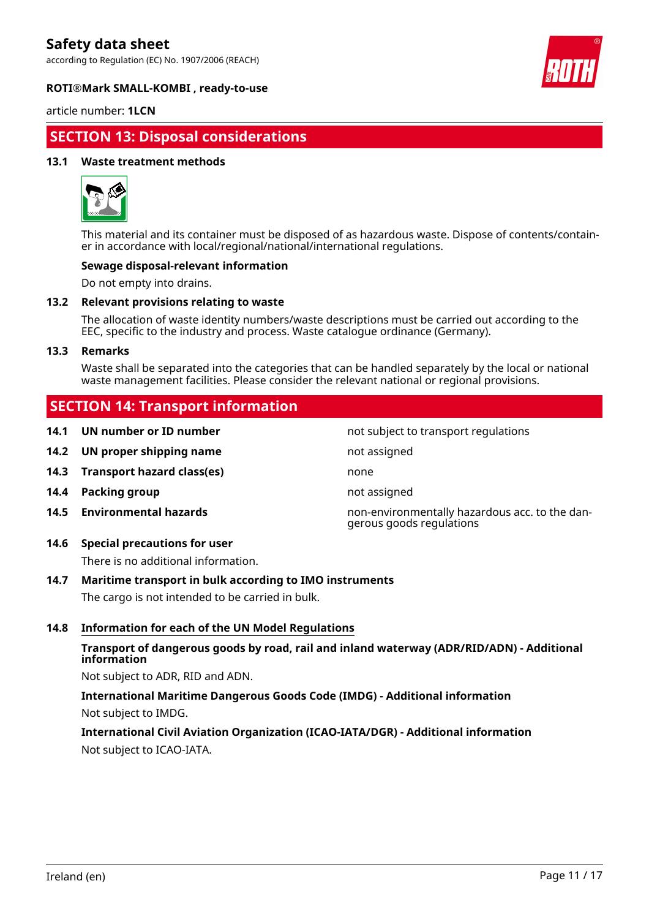according to Regulation (EC) No. 1907/2006 (REACH)





## article number: **1LCN**

## **SECTION 13: Disposal considerations**

## **13.1 Waste treatment methods**



This material and its container must be disposed of as hazardous waste. Dispose of contents/container in accordance with local/regional/national/international regulations.

## **Sewage disposal-relevant information**

Do not empty into drains.

#### **13.2 Relevant provisions relating to waste**

The allocation of waste identity numbers/waste descriptions must be carried out according to the EEC, specific to the industry and process. Waste catalogue ordinance (Germany).

#### **13.3 Remarks**

Waste shall be separated into the categories that can be handled separately by the local or national waste management facilities. Please consider the relevant national or regional provisions.

## **SECTION 14: Transport information**

- **14.1 UN number or ID number not subject to transport regulations**
- **14.2 UN proper shipping name** not assigned
- **14.3 Transport hazard class(es)** none
- **14.4 Packing group not assigned**
- 
- **14.6 Special precautions for user**

There is no additional information.

## **14.7 Maritime transport in bulk according to IMO instruments**

The cargo is not intended to be carried in bulk.

## **14.8 Information for each of the UN Model Regulations**

## **Transport of dangerous goods by road, rail and inland waterway (ADR/RID/ADN) - Additional information**

Not subject to ADR, RID and ADN.

**International Maritime Dangerous Goods Code (IMDG) - Additional information** Not subject to IMDG.

**International Civil Aviation Organization (ICAO-IATA/DGR) - Additional information** Not subject to ICAO-IATA.

**14.5 Environmental hazards** non-environmentally hazardous acc. to the dangerous goods regulations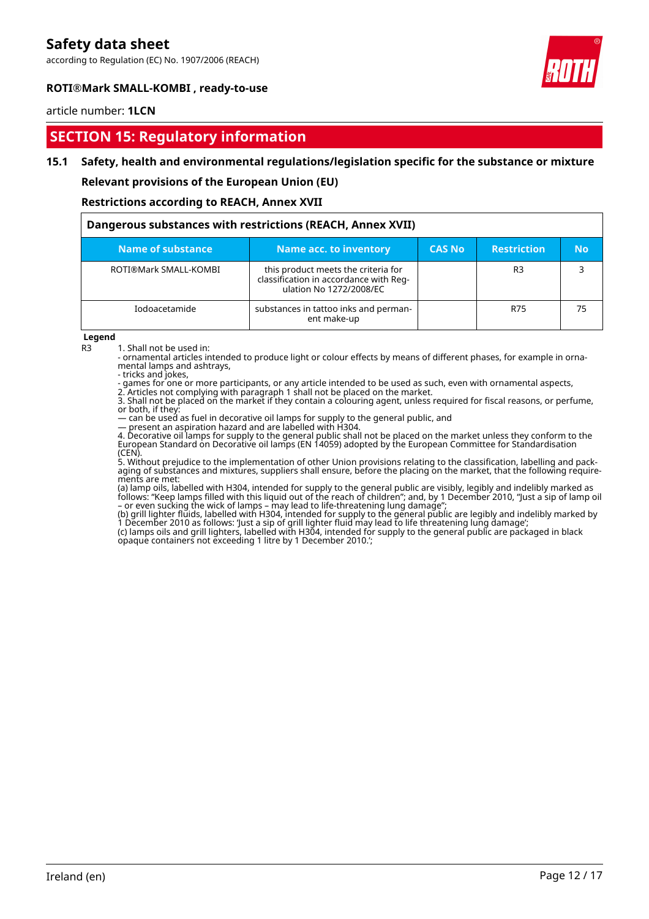according to Regulation (EC) No. 1907/2006 (REACH)



## **ROTI®Mark SMALL-KOMBI , ready-to-use**

### article number: **1LCN**

## **SECTION 15: Regulatory information**

## **15.1 Safety, health and environmental regulations/legislation specific for the substance or mixture**

**Relevant provisions of the European Union (EU)**

## **Restrictions according to REACH, Annex XVII**

| Dangerous substances with restrictions (REACH, Annex XVII) |                                                                                                          |               |                    |           |
|------------------------------------------------------------|----------------------------------------------------------------------------------------------------------|---------------|--------------------|-----------|
| Name of substance                                          | Name acc. to inventory                                                                                   | <b>CAS No</b> | <b>Restriction</b> | <b>No</b> |
| ROTI®Mark SMALL-KOMBI                                      | this product meets the criteria for<br>classification in accordance with Reg-<br>ulation No 1272/2008/EC |               | R <sub>3</sub>     |           |
| Iodoacetamide                                              | substances in tattoo inks and perman-<br>ent make-up                                                     |               | R75                | 75        |

#### **Legend**

R3 1. Shall not be used in:

- ornamental articles intended to produce light or colour effects by means of different phases, for example in ornamental lamps and ashtrays,

- tricks and jokes,

- games for one or more participants, or any article intended to be used as such, even with ornamental aspects, 2. Articles not complying with paragraph 1 shall not be placed on the market.

3. Shall not be placed on the market if they contain a colouring agent, unless required for fiscal reasons, or perfume, or both, if they:

— can be used as fuel in decorative oil lamps for supply to the general public, and

— present an aspiration hazard and are labelled with H304.

4. Decorative oil lamps for supply to the general public shall not be placed on the market unless they conform to the European Standard on Decorative oil lamps (EN 14059) adopted by the European Committee for Standardisation (CEN).

5. Without prejudice to the implementation of other Union provisions relating to the classification, labelling and packaging of substances and mixtures, suppliers shall ensure, before the placing on the market, that the following requirements are met:

(a) lamp oils, labelled with H304, intended for supply to the general public are visibly, legibly and indelibly marked as follows: "Keep lamps filled with this liquid out of the reach of children"; and, by 1 December 2010, "Just a sip of lamp oil – or even sucking the wick of lamps – may lead to life-threatening lung damage";

(b) grill lighter fluids, labelled with H304, intended for supply to the general public are legibly and indelibly marked by 1 December 2010 as follows: 'Just a sip of grill lighter fluid may lead to life threatening lung damage';

(c) lamps oils and grill lighters, labelled with H304, intended for supply to the general public are packaged in black opaque containers not exceeding 1 litre by 1 December 2010.';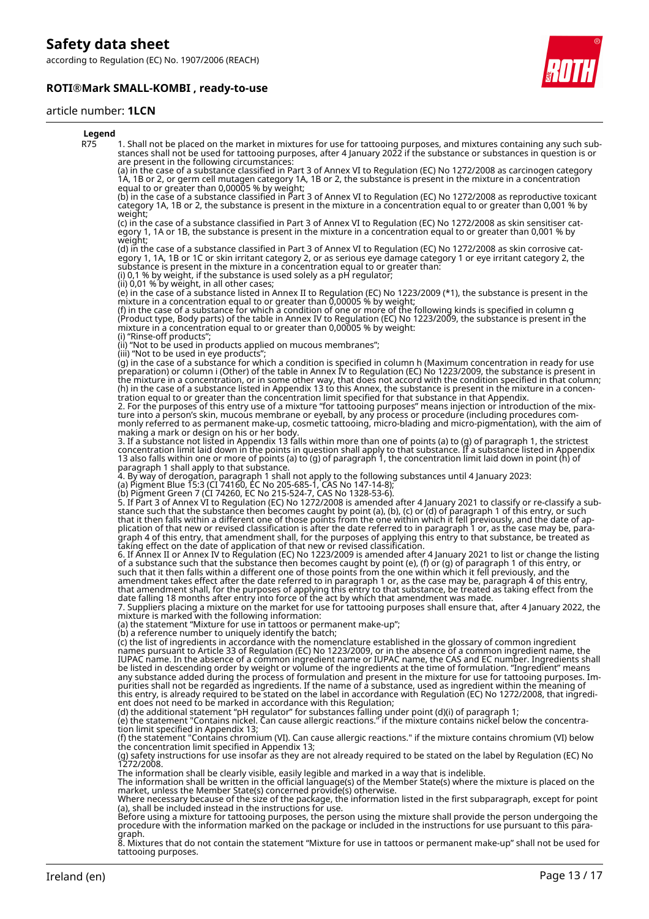according to Regulation (EC) No. 1907/2006 (REACH)

## **ROTI®Mark SMALL-KOMBI , ready-to-use**



#### article number: **1LCN**

#### **Legend** R75 1. Shall not be placed on the market in mixtures for use for tattooing purposes, and mixtures containing any such substances shall not be used for tattooing purposes, after 4 January 2022 if the substance or substances in question is or are present in the following circumstances: (a) in the case of a substance classified in Part 3 of Annex VI to Regulation (EC) No 1272/2008 as carcinogen category 1A, 1B or 2, or germ cell mutagen category 1A, 1B or 2, the substance is present in the mixture in a concentration equal to or greater than 0,00005 % by weight; (b) in the case of a substance classified in Part 3 of Annex VI to Regulation (EC) No 1272/2008 as reproductive toxicant category 1A, 1B or 2, the substance is present in the mixture in a concentration equal to or greater than 0,001 % by weight; (c) in the case of a substance classified in Part 3 of Annex VI to Regulation (EC) No 1272/2008 as skin sensitiser category 1, 1A or 1B, the substance is present in the mixture in a concentration equal to or greater than 0,001 % by weight; (d) in the case of a substance classified in Part 3 of Annex VI to Regulation (EC) No 1272/2008 as skin corrosive category 1, 1A, 1B or 1C or skin irritant category 2, or as serious eye damage category 1 or eye irritant category 2, the substance is present in the mixture in a concentration equal to or greater than: (i) 0,1 % by weight, if the substance is used solely as a pH regulator; (ii) 0,01 % by weight, in all other cases; (e) in the case of a substance listed in Annex II to Regulation (EC) No 1223/2009 (\*1), the substance is present in the mixture in a concentration equal to or greater than 0,00005 % by weight; (f) in the case of a substance for which a condition of one or more of the following kinds is specified in column g (Product type, Body parts) of the table in Annex IV to Regulation (EC) No 1223/2009, the substance is present in the mixture in a concentration equal to or greater than 0,00005 % by weight: (i) "Rinse-off products"; (ii) "Not to be used in products applied on mucous membranes"; (iii) "Not to be used in eye products"; (g) in the case of a substance for which a condition is specified in column h (Maximum concentration in ready for use preparation) or column i (Other) of the table in Annex IV to Regulation (EC) No 1223/2009, the substance is present in the mixture in a concentration, or in some other way, that does not accord with the condition specified in that column; (h) in the case of a substance listed in Appendix 13 to this Annex, the substance is present in the mixture in a concentration equal to or greater than the concentration limit specified for that substance in that Appendix. 2. For the purposes of this entry use of a mixture "for tattooing purposes" means injection or introduction of the mixture into a person's skin, mucous membrane or eyeball, by any process or procedure (including procedures commonly referred to as permanent make-up, cosmetic tattooing, micro-blading and micro-pigmentation), with the aim of making a mark or design on his or her body. 3. If a substance not listed in Appendix 13 falls within more than one of points (a) to (g) of paragraph 1, the strictest concentration limit laid down in the points in question shall apply to that substance. If a substance listed in Appendix 13 also falls within one or more of points (a) to (g) of paragraph 1, the concentration limit laid down in point (h) of paragraph 1 shall apply to that substance. 4. By way of derogation, paragraph 1 shall not apply to the following substances until 4 January 2023: (a) Pigment Blue 15:3 (CI 74160, EC No 205-685-1, CAS No 147-14-8); (b) Pigment Green 7 (CI 74260, EC No 215-524-7, CAS No 1328-53-6). 5. If Part 3 of Annex VI to Regulation (EC) No 1272/2008 is amended after 4 January 2021 to classify or re-classify a substance such that the substance then becomes caught by point (a), (b), (c) or (d) of paragraph 1 of this entry, or such that it then falls within a different one of those points from the one within which it fell previously, and the date of application of that new or revised classification is after the date referred to in paragraph 1 or, as the case may be, paragraph 4 of this entry, that amendment shall, for the purposes of applying this entry to that substance, be treated as taking effect on the date of application of that new or revised classification. 6. If Annex II or Annex IV to Regulation (EC) No 1223/2009 is amended after 4 January 2021 to list or change the listing of a substance such that the substance then becomes caught by point (e), (f) or (g) of paragraph 1 of this entry, or such that it then falls within a different one of those points from the one within which it fell previously, and the amendment takes effect after the date referred to in paragraph 1 or, as the case may be, paragraph 4 of this entry, that amendment shall, for the purposes of applying this entry to that substance, be treated as taking effect from the date falling 18 months after entry into force of the act by which that amendment was made. 7. Suppliers placing a mixture on the market for use for tattooing purposes shall ensure that, after 4 January 2022, the mixture is marked with the following information: (a) the statement "Mixture for use in tattoos or permanent make-up"; (b) a reference number to uniquely identify the batch; (c) the list of ingredients in accordance with the nomenclature established in the glossary of common ingredient names pursuant to Article 33 of Regulation (EC) No 1223/2009, or in the absence of a common ingredient name, the IUPAC name. In the absence of a common ingredient name or IUPAC name, the CAS and EC number. Ingredients shall be listed in descending order by weight or volume of the ingredients at the time of formulation. "Ingredient" means any substance added during the process of formulation and present in the mixture for use for tattooing purposes. Impurities shall not be regarded as ingredients. If the name of a substance, used as ingredient within the meaning of this entry, is already required to be stated on the label in accordance with Regulation (EC) No 1272/2008, that ingredient does not need to be marked in accordance with this Regulation; (d) the additional statement "pH regulator" for substances falling under point (d)(i) of paragraph 1; (e) the statement "Contains nickel. Can cause allergic reactions." if the mixture contains nickel below the concentration limit specified in Appendix 13; (f) the statement "Contains chromium (VI). Can cause allergic reactions." if the mixture contains chromium (VI) below the concentration limit specified in Appendix 13; (g) safety instructions for use insofar as they are not already required to be stated on the label by Regulation (EC) No 1272/2008. The information shall be clearly visible, easily legible and marked in a way that is indelible.<br>The information shall be written in the official language(s) of the Member State(s) where the mixture is placed on the<br>market, Where necessary because of the size of the package, the information listed in the first subparagraph, except for point (a), shall be included instead in the instructions for use. Before using a mixture for tattooing purposes, the person using the mixture shall provide the person undergoing the procedure with the information marked on the package or included in the instructions for use pursuant to this paragraph. 8. Mixtures that do not contain the statement "Mixture for use in tattoos or permanent make-up" shall not be used for tattooing purposes. Ireland (en) Page 13 / 17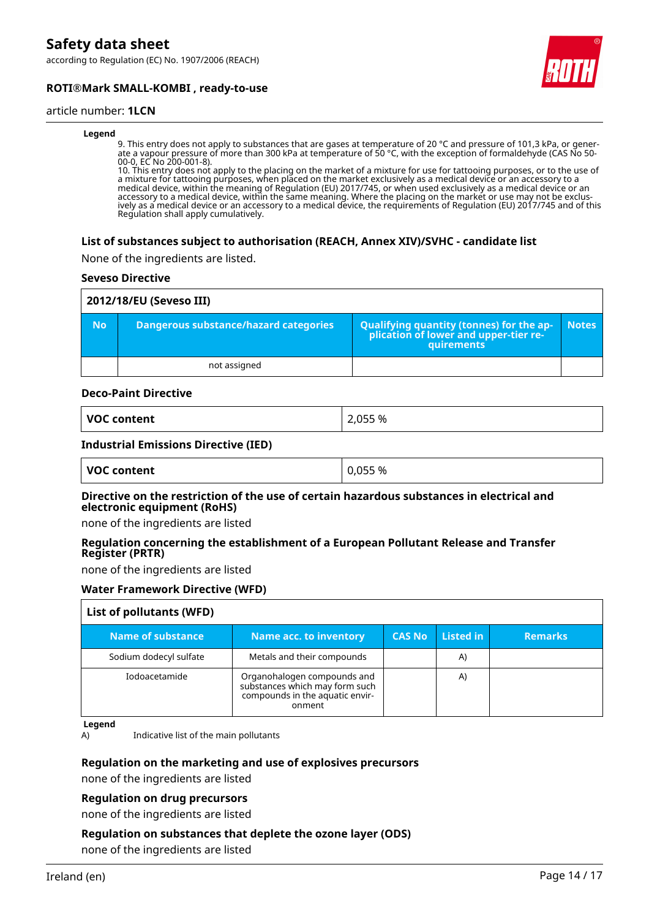according to Regulation (EC) No. 1907/2006 (REACH)



## **ROTI®Mark SMALL-KOMBI , ready-to-use**

## article number: **1LCN**

#### **Legend**

9. This entry does not apply to substances that are gases at temperature of 20 °C and pressure of 101,3 kPa, or generate a vapour pressure of more than 300 kPa at temperature of 50 °C, with the exception of formaldehyde (CAS No 50- 00-0, EC No 200-001-8).

10. This entry does not apply to the placing on the market of a mixture for use for tattooing purposes, or to the use of a mixture for tattooing purposes, when placed on the market exclusively as a medical device or an accessory to a medical device, within the meaning of Regulation (EU) 2017/745, or when used exclusively as a medical device or an accessory to a medical device, within the same meaning. Where the placing on the market or use may not be exclusively as a medical device or an accessory to a medical device, the requirements of Regulation (EU) 2017/745 and of this Regulation shall apply cumulatively.

#### **List of substances subject to authorisation (REACH, Annex XIV)/SVHC - candidate list**

None of the ingredients are listed.

#### **Seveso Directive**

|           | 2012/18/EU (Seveso III)               |                                                                                            |              |  |
|-----------|---------------------------------------|--------------------------------------------------------------------------------------------|--------------|--|
| <b>No</b> | Dangerous substance/hazard categories | Qualifying quantity (tonnes) for the application of lower and upper-tier re-<br>quirements | <b>Notes</b> |  |
|           | not assigned                          |                                                                                            |              |  |

#### **Deco-Paint Directive**

| VOC content | 2,055 % |
|-------------|---------|
|-------------|---------|

#### **Industrial Emissions Directive (IED)**

| VOC content | 0,055 % |
|-------------|---------|
|             |         |

#### **Directive on the restriction of the use of certain hazardous substances in electrical and electronic equipment (RoHS)**

none of the ingredients are listed

#### **Regulation concerning the establishment of a European Pollutant Release and Transfer Register (PRTR)**

none of the ingredients are listed

## **Water Framework Directive (WFD)**

| List of pollutants (WFD) |                                                                                                            |                |           |                |
|--------------------------|------------------------------------------------------------------------------------------------------------|----------------|-----------|----------------|
| Name of substance        | <b>Name acc. to inventory</b>                                                                              | <b>CAS No.</b> | Listed in | <b>Remarks</b> |
| Sodium dodecyl sulfate   | Metals and their compounds                                                                                 |                | A)        |                |
| Iodoacetamide            | Organohalogen compounds and<br>substances which may form such<br>compounds in the aquatic envir-<br>onment |                | A)        |                |

#### **Legend**

A) Indicative list of the main pollutants

## **Regulation on the marketing and use of explosives precursors**

none of the ingredients are listed

#### **Regulation on drug precursors**

none of the ingredients are listed

## **Regulation on substances that deplete the ozone layer (ODS)**

none of the ingredients are listed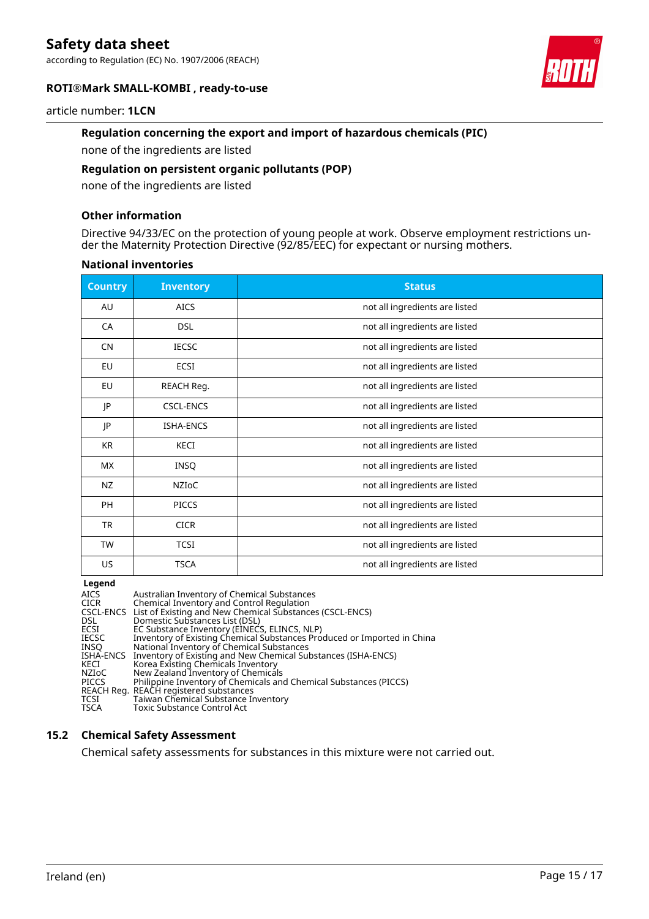according to Regulation (EC) No. 1907/2006 (REACH)





### article number: **1LCN**

## **Regulation concerning the export and import of hazardous chemicals (PIC)**

none of the ingredients are listed

## **Regulation on persistent organic pollutants (POP)**

none of the ingredients are listed

### **Other information**

Directive 94/33/EC on the protection of young people at work. Observe employment restrictions under the Maternity Protection Directive (92/85/EEC) for expectant or nursing mothers.

#### **National inventories**

| <b>Country</b> | <b>Inventory</b> | <b>Status</b>                  |
|----------------|------------------|--------------------------------|
| AU             | <b>AICS</b>      | not all ingredients are listed |
| CA             | <b>DSL</b>       | not all ingredients are listed |
| <b>CN</b>      | <b>IECSC</b>     | not all ingredients are listed |
| EU             | ECSI             | not all ingredients are listed |
| EU             | REACH Reg.       | not all ingredients are listed |
| JP             | <b>CSCL-ENCS</b> | not all ingredients are listed |
| JP             | <b>ISHA-ENCS</b> | not all ingredients are listed |
| <b>KR</b>      | KECI             | not all ingredients are listed |
| <b>MX</b>      | <b>INSQ</b>      | not all ingredients are listed |
| NZ             | <b>NZIOC</b>     | not all ingredients are listed |
| PH             | <b>PICCS</b>     | not all ingredients are listed |
| <b>TR</b>      | <b>CICR</b>      | not all ingredients are listed |
| <b>TW</b>      | <b>TCSI</b>      | not all ingredients are listed |
| US             | <b>TSCA</b>      | not all ingredients are listed |

**Legend**

| <b>AICS</b><br><b>CICR</b><br>DSL.<br>ECSI<br><b>IECSC</b><br><b>INSO</b><br>ISHA-ENCS<br>KECI | Australian Inventory of Chemical Substances<br>Chemical Inventory and Control Regulation<br>CSCL-ENCS List of Existing and New Chemical Substances (CSCL-ENCS)<br>Domestic Substances List (DSL)<br>EC Substance Inventory (EINECS, ELINCS, NLP)<br>Inventory of Existing Chemical Substances Produced or Imported in China<br>National Inventory of Chemical Substances<br>Inventory of Existing and New Chemical Substances (ISHA-ENCS)<br>Korea Existing Chemicals Inventory |
|------------------------------------------------------------------------------------------------|---------------------------------------------------------------------------------------------------------------------------------------------------------------------------------------------------------------------------------------------------------------------------------------------------------------------------------------------------------------------------------------------------------------------------------------------------------------------------------|
| NZIoC<br><b>PICCS</b><br>TCSI<br><b>TSCA</b>                                                   | New Zealand Inventory of Chemicals<br>Philippine Inventory of Chemicals and Chemical Substances (PICCS)<br>REACH Reg. REACH registered substances<br>Taiwan Chemical Substance Inventory<br>Toxic Substance Control Act                                                                                                                                                                                                                                                         |

## **15.2 Chemical Safety Assessment**

Chemical safety assessments for substances in this mixture were not carried out.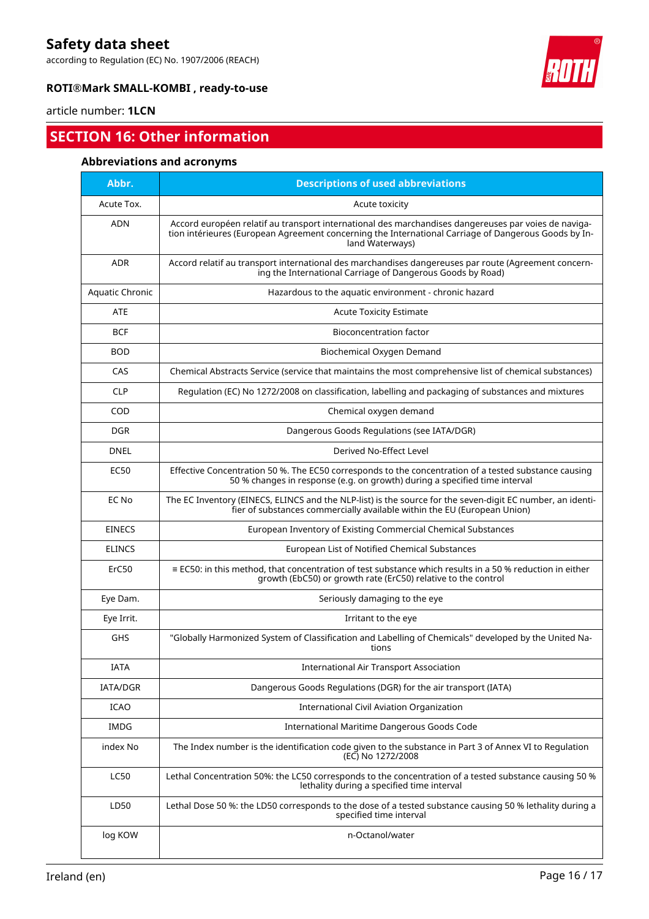according to Regulation (EC) No. 1907/2006 (REACH)



## **ROTI®Mark SMALL-KOMBI , ready-to-use**

## article number: **1LCN**

## **SECTION 16: Other information**

## **Abbreviations and acronyms**

| Abbr.                  | <b>Descriptions of used abbreviations</b>                                                                                                                                                                                       |
|------------------------|---------------------------------------------------------------------------------------------------------------------------------------------------------------------------------------------------------------------------------|
| Acute Tox.             | Acute toxicity                                                                                                                                                                                                                  |
| <b>ADN</b>             | Accord européen relatif au transport international des marchandises dangereuses par voies de naviga-<br>tion intérieures (European Agreement concerning the International Carriage of Dangerous Goods by In-<br>land Waterways) |
| <b>ADR</b>             | Accord relatif au transport international des marchandises dangereuses par route (Agreement concern-<br>ing the International Carriage of Dangerous Goods by Road)                                                              |
| <b>Aquatic Chronic</b> | Hazardous to the aquatic environment - chronic hazard                                                                                                                                                                           |
| <b>ATE</b>             | <b>Acute Toxicity Estimate</b>                                                                                                                                                                                                  |
| BCF                    | <b>Bioconcentration factor</b>                                                                                                                                                                                                  |
| <b>BOD</b>             | Biochemical Oxygen Demand                                                                                                                                                                                                       |
| CAS                    | Chemical Abstracts Service (service that maintains the most comprehensive list of chemical substances)                                                                                                                          |
| <b>CLP</b>             | Regulation (EC) No 1272/2008 on classification, labelling and packaging of substances and mixtures                                                                                                                              |
| COD                    | Chemical oxygen demand                                                                                                                                                                                                          |
| <b>DGR</b>             | Dangerous Goods Regulations (see IATA/DGR)                                                                                                                                                                                      |
| <b>DNEL</b>            | Derived No-Effect Level                                                                                                                                                                                                         |
| <b>EC50</b>            | Effective Concentration 50 %. The EC50 corresponds to the concentration of a tested substance causing<br>50 % changes in response (e.g. on growth) during a specified time interval                                             |
| EC No                  | The EC Inventory (EINECS, ELINCS and the NLP-list) is the source for the seven-digit EC number, an identi-<br>fier of substances commercially available within the EU (European Union)                                          |
| <b>EINECS</b>          | European Inventory of Existing Commercial Chemical Substances                                                                                                                                                                   |
| <b>ELINCS</b>          | European List of Notified Chemical Substances                                                                                                                                                                                   |
| ErC50                  | $\equiv$ EC50: in this method, that concentration of test substance which results in a 50 % reduction in either<br>growth (EbC50) or growth rate (ErC50) relative to the control                                                |
| Eye Dam.               | Seriously damaging to the eye                                                                                                                                                                                                   |
| Eye Irrit.             | Irritant to the eye                                                                                                                                                                                                             |
| GHS                    | "Globally Harmonized System of Classification and Labelling of Chemicals" developed by the United Na-<br>tions                                                                                                                  |
| IATA                   | <b>International Air Transport Association</b>                                                                                                                                                                                  |
| IATA/DGR               | Dangerous Goods Regulations (DGR) for the air transport (IATA)                                                                                                                                                                  |
| <b>ICAO</b>            | International Civil Aviation Organization                                                                                                                                                                                       |
| <b>IMDG</b>            | International Maritime Dangerous Goods Code                                                                                                                                                                                     |
| index No               | The Index number is the identification code given to the substance in Part 3 of Annex VI to Regulation<br>(EC) No 1272/2008                                                                                                     |
| <b>LC50</b>            | Lethal Concentration 50%: the LC50 corresponds to the concentration of a tested substance causing 50 %<br>lethality during a specified time interval                                                                            |
| LD50                   | Lethal Dose 50 %: the LD50 corresponds to the dose of a tested substance causing 50 % lethality during a<br>specified time interval                                                                                             |
| log KOW                | n-Octanol/water                                                                                                                                                                                                                 |